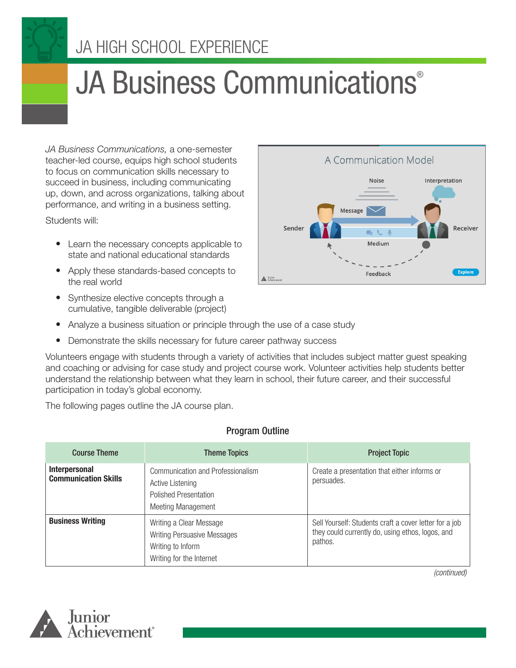

# JA HIGH SCHOOL EXPERIENCE

# JA Business Communications<sup>®</sup>

*JA Business Communications,* a one-semester teacher-led course, equips high school students to focus on communication skills necessary to succeed in business, including communicating up, down, and across organizations, talking about performance, and writing in a business setting.

Students will:

- Learn the necessary concepts applicable to state and national educational standards
- Apply these standards-based concepts to the real world
- Synthesize elective concepts through a cumulative, tangible deliverable (project)



- Analyze a business situation or principle through the use of a case study
- Demonstrate the skills necessary for future career pathway success

Volunteers engage with students through a variety of activities that includes subject matter guest speaking and coaching or advising for case study and project course work. Volunteer activities help students better understand the relationship between what they learn in school, their future career, and their successful participation in today's global economy.

The following pages outline the JA course plan.

#### Program Outline

| <b>Course Theme</b>                          | <b>Theme Topics</b>                                                                                            | <b>Project Topic</b>                                                                                                  |
|----------------------------------------------|----------------------------------------------------------------------------------------------------------------|-----------------------------------------------------------------------------------------------------------------------|
| Interpersonal<br><b>Communication Skills</b> | Communication and Professionalism<br>Active Listening<br><b>Polished Presentation</b><br>Meeting Management    | Create a presentation that either informs or<br>persuades.                                                            |
| <b>Business Writing</b>                      | Writing a Clear Message<br><b>Writing Persuasive Messages</b><br>Writing to Inform<br>Writing for the Internet | Sell Yourself: Students craft a cover letter for a job<br>they could currently do, using ethos, logos, and<br>pathos. |

*(continued)*

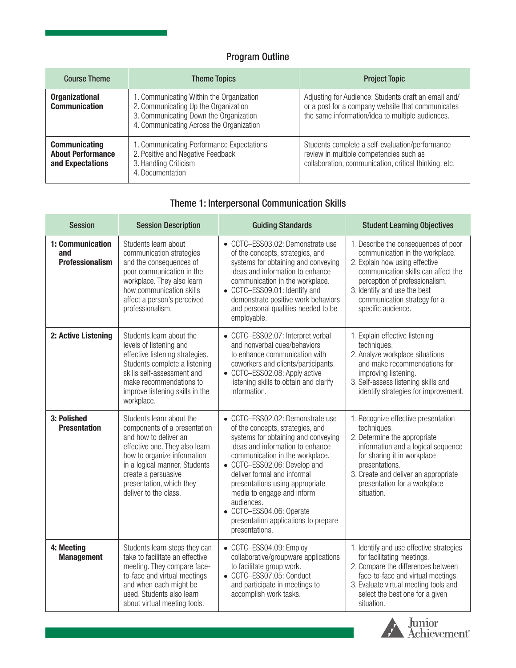## Program Outline

| <b>Course Theme</b>                                                  | <b>Theme Topics</b>                                                                                                                                                    | <b>Project Topic</b>                                                                                                                                          |
|----------------------------------------------------------------------|------------------------------------------------------------------------------------------------------------------------------------------------------------------------|---------------------------------------------------------------------------------------------------------------------------------------------------------------|
| <b>Organizational</b><br><b>Communication</b>                        | 1. Communicating Within the Organization<br>2. Communicating Up the Organization<br>3. Communicating Down the Organization<br>4. Communicating Across the Organization | Adjusting for Audience: Students draft an email and/<br>or a post for a company website that communicates<br>the same information/idea to multiple audiences. |
| <b>Communicating</b><br><b>About Performance</b><br>and Expectations | 1. Communicating Performance Expectations<br>2. Positive and Negative Feedback<br>3. Handling Criticism<br>4. Documentation                                            | Students complete a self-evaluation/performance<br>review in multiple competencies such as<br>collaboration, communication, critical thinking, etc.           |

## Theme 1: Interpersonal Communication Skills

| <b>Session</b>                                    | <b>Session Description</b>                                                                                                                                                                                                                                      | <b>Guiding Standards</b>                                                                                                                                                                                                                                                                                                                                                                                               | <b>Student Learning Objectives</b>                                                                                                                                                                                                                                       |
|---------------------------------------------------|-----------------------------------------------------------------------------------------------------------------------------------------------------------------------------------------------------------------------------------------------------------------|------------------------------------------------------------------------------------------------------------------------------------------------------------------------------------------------------------------------------------------------------------------------------------------------------------------------------------------------------------------------------------------------------------------------|--------------------------------------------------------------------------------------------------------------------------------------------------------------------------------------------------------------------------------------------------------------------------|
| 1: Communication<br>and<br><b>Professionalism</b> | Students learn about<br>communication strategies<br>and the consequences of<br>poor communication in the<br>workplace. They also learn<br>how communication skills<br>affect a person's perceived<br>professionalism.                                           | • CCTC-ESS03.02: Demonstrate use<br>of the concepts, strategies, and<br>systems for obtaining and conveying<br>ideas and information to enhance<br>communication in the workplace.<br>CCTC-ESS09.01: Identify and<br>demonstrate positive work behaviors<br>and personal qualities needed to be<br>employable.                                                                                                         | 1. Describe the consequences of poor<br>communication in the workplace.<br>2. Explain how using effective<br>communication skills can affect the<br>perception of professionalism.<br>3. Identify and use the best<br>communication strategy for a<br>specific audience. |
| 2: Active Listening                               | Students learn about the<br>levels of listening and<br>effective listening strategies.<br>Students complete a listening<br>skills self-assessment and<br>make recommendations to<br>improve listening skills in the<br>workplace.                               | • CCTC-ESS02.07: Interpret verbal<br>and nonverbal cues/behaviors<br>to enhance communication with<br>coworkers and clients/participants.<br>• CCTC-ESS02.08: Apply active<br>listening skills to obtain and clarify<br>information.                                                                                                                                                                                   | 1. Explain effective listening<br>techniques.<br>2. Analyze workplace situations<br>and make recommendations for<br>improving listening.<br>3. Self-assess listening skills and<br>identify strategies for improvement.                                                  |
| 3: Polished<br><b>Presentation</b>                | Students learn about the<br>components of a presentation<br>and how to deliver an<br>effective one. They also learn<br>how to organize information<br>in a logical manner. Students<br>create a persuasive<br>presentation, which they<br>deliver to the class. | • CCTC-ESS02.02: Demonstrate use<br>of the concepts, strategies, and<br>systems for obtaining and conveying<br>ideas and information to enhance<br>communication in the workplace.<br>• CCTC-ESS02.06: Develop and<br>deliver formal and informal<br>presentations using appropriate<br>media to engage and inform<br>audiences.<br>• CCTC-ESS04.06: Operate<br>presentation applications to prepare<br>presentations. | 1. Recognize effective presentation<br>techniques.<br>2. Determine the appropriate<br>information and a logical sequence<br>for sharing it in workplace<br>presentations.<br>3. Create and deliver an appropriate<br>presentation for a workplace<br>situation.          |
| 4: Meeting<br><b>Management</b>                   | Students learn steps they can<br>take to facilitate an effective<br>meeting. They compare face-<br>to-face and virtual meetings<br>and when each might be<br>used. Students also learn<br>about virtual meeting tools.                                          | • CCTC-ESS04.09: Employ<br>collaborative/groupware applications<br>to facilitate group work.<br>• CCTC-ESS07.05: Conduct<br>and participate in meetings to<br>accomplish work tasks.                                                                                                                                                                                                                                   | 1. Identify and use effective strategies<br>for facilitating meetings.<br>2. Compare the differences between<br>face-to-face and virtual meetings.<br>3. Evaluate virtual meeting tools and<br>select the best one for a given<br>situation.                             |

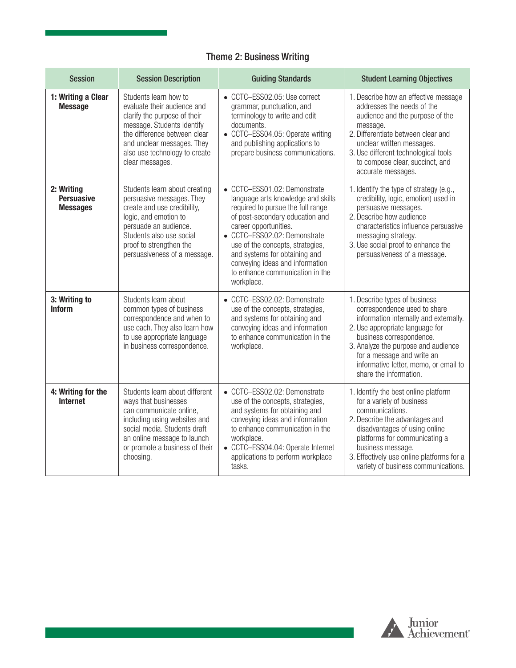#### Theme 2: Business Writing

| <b>Session</b>                                     | <b>Session Description</b>                                                                                                                                                                                                           | <b>Guiding Standards</b>                                                                                                                                                                                                                                                                                                                                     | <b>Student Learning Objectives</b>                                                                                                                                                                                                                                                                             |
|----------------------------------------------------|--------------------------------------------------------------------------------------------------------------------------------------------------------------------------------------------------------------------------------------|--------------------------------------------------------------------------------------------------------------------------------------------------------------------------------------------------------------------------------------------------------------------------------------------------------------------------------------------------------------|----------------------------------------------------------------------------------------------------------------------------------------------------------------------------------------------------------------------------------------------------------------------------------------------------------------|
| 1: Writing a Clear<br><b>Message</b>               | Students learn how to<br>evaluate their audience and<br>clarify the purpose of their<br>message. Students identify<br>the difference between clear<br>and unclear messages. They<br>also use technology to create<br>clear messages. | • CCTC-ESS02.05: Use correct<br>grammar, punctuation, and<br>terminology to write and edit<br>documents.<br>• CCTC-ESS04.05: Operate writing<br>and publishing applications to<br>prepare business communications.                                                                                                                                           | 1. Describe how an effective message<br>addresses the needs of the<br>audience and the purpose of the<br>message.<br>2. Differentiate between clear and<br>unclear written messages.<br>3. Use different technological tools<br>to compose clear, succinct, and<br>accurate messages.                          |
| 2: Writing<br><b>Persuasive</b><br><b>Messages</b> | Students learn about creating<br>persuasive messages. They<br>create and use credibility,<br>logic, and emotion to<br>persuade an audience.<br>Students also use social<br>proof to strengthen the<br>persuasiveness of a message.   | • CCTC-ESS01.02: Demonstrate<br>language arts knowledge and skills<br>required to pursue the full range<br>of post-secondary education and<br>career opportunities.<br>• CCTC-ESS02.02: Demonstrate<br>use of the concepts, strategies,<br>and systems for obtaining and<br>conveying ideas and information<br>to enhance communication in the<br>workplace. | 1. Identify the type of strategy (e.g.,<br>credibility, logic, emotion) used in<br>persuasive messages.<br>2. Describe how audience<br>characteristics influence persuasive<br>messaging strategy.<br>3. Use social proof to enhance the<br>persuasiveness of a message.                                       |
| 3: Writing to<br><b>Inform</b>                     | Students learn about<br>common types of business<br>correspondence and when to<br>use each. They also learn how<br>to use appropriate language<br>in business correspondence.                                                        | • CCTC-ESS02.02: Demonstrate<br>use of the concepts, strategies,<br>and systems for obtaining and<br>conveying ideas and information<br>to enhance communication in the<br>workplace.                                                                                                                                                                        | 1. Describe types of business<br>correspondence used to share<br>information internally and externally.<br>2. Use appropriate language for<br>business correspondence.<br>3. Analyze the purpose and audience<br>for a message and write an<br>informative letter, memo, or email to<br>share the information. |
| 4: Writing for the<br><b>Internet</b>              | Students learn about different<br>ways that businesses<br>can communicate online,<br>including using websites and<br>social media. Students draft<br>an online message to launch<br>or promote a business of their<br>choosing.      | • CCTC-ESS02.02: Demonstrate<br>use of the concepts, strategies,<br>and systems for obtaining and<br>conveying ideas and information<br>to enhance communication in the<br>workplace.<br>• CCTC-ESS04.04: Operate Internet<br>applications to perform workplace<br>tasks.                                                                                    | 1. Identify the best online platform<br>for a variety of business<br>communications.<br>2. Describe the advantages and<br>disadvantages of using online<br>platforms for communicating a<br>business message.<br>3. Effectively use online platforms for a<br>variety of business communications.              |

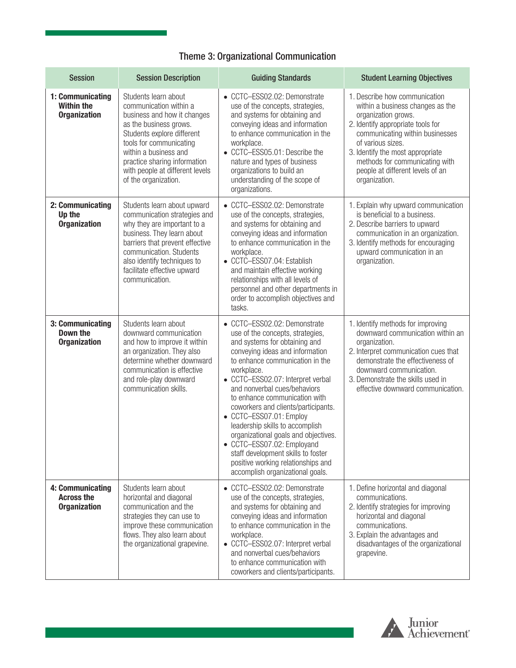| <b>Theme 3: Organizational Communication</b> |  |
|----------------------------------------------|--|
|----------------------------------------------|--|

| <b>Session</b>                                               | <b>Session Description</b>                                                                                                                                                                                                                                                           | <b>Guiding Standards</b>                                                                                                                                                                                                                                                                                                                                                                                                                                                                                                                                                               | <b>Student Learning Objectives</b>                                                                                                                                                                                                                                                                               |
|--------------------------------------------------------------|--------------------------------------------------------------------------------------------------------------------------------------------------------------------------------------------------------------------------------------------------------------------------------------|----------------------------------------------------------------------------------------------------------------------------------------------------------------------------------------------------------------------------------------------------------------------------------------------------------------------------------------------------------------------------------------------------------------------------------------------------------------------------------------------------------------------------------------------------------------------------------------|------------------------------------------------------------------------------------------------------------------------------------------------------------------------------------------------------------------------------------------------------------------------------------------------------------------|
| 1: Communicating<br><b>Within the</b><br><b>Organization</b> | Students learn about<br>communication within a<br>business and how it changes<br>as the business grows.<br>Students explore different<br>tools for communicating<br>within a business and<br>practice sharing information<br>with people at different levels<br>of the organization. | • CCTC-ESS02.02: Demonstrate<br>use of the concepts, strategies,<br>and systems for obtaining and<br>conveying ideas and information<br>to enhance communication in the<br>workplace.<br>• CCTC-ESS05.01: Describe the<br>nature and types of business<br>organizations to build an<br>understanding of the scope of<br>organizations.                                                                                                                                                                                                                                                 | 1. Describe how communication<br>within a business changes as the<br>organization grows.<br>2. Identify appropriate tools for<br>communicating within businesses<br>of various sizes.<br>3. Identify the most appropriate<br>methods for communicating with<br>people at different levels of an<br>organization. |
| 2: Communicating<br>Up the<br><b>Organization</b>            | Students learn about upward<br>communication strategies and<br>why they are important to a<br>business. They learn about<br>barriers that prevent effective<br>communication. Students<br>also identify techniques to<br>facilitate effective upward<br>communication.               | • CCTC-ESS02.02: Demonstrate<br>use of the concepts, strategies,<br>and systems for obtaining and<br>conveying ideas and information<br>to enhance communication in the<br>workplace.<br>• CCTC-ESS07.04: Establish<br>and maintain effective working<br>relationships with all levels of<br>personnel and other departments in<br>order to accomplish objectives and<br>tasks.                                                                                                                                                                                                        | 1. Explain why upward communication<br>is beneficial to a business.<br>2. Describe barriers to upward<br>communication in an organization.<br>3. Identify methods for encouraging<br>upward communication in an<br>organization.                                                                                 |
| 3: Communicating<br>Down the<br><b>Organization</b>          | Students learn about<br>downward communication<br>and how to improve it within<br>an organization. They also<br>determine whether downward<br>communication is effective<br>and role-play downward<br>communication skills.                                                          | • CCTC-ESS02.02: Demonstrate<br>use of the concepts, strategies,<br>and systems for obtaining and<br>conveying ideas and information<br>to enhance communication in the<br>workplace.<br>• CCTC-ESS02.07: Interpret verbal<br>and nonverbal cues/behaviors<br>to enhance communication with<br>coworkers and clients/participants.<br>• CCTC-ESS07.01: Employ<br>leadership skills to accomplish<br>organizational goals and objectives.<br>• CCTC-ESS07.02: Employand<br>staff development skills to foster<br>positive working relationships and<br>accomplish organizational goals. | 1. Identify methods for improving<br>downward communication within an<br>organization.<br>2. Interpret communication cues that<br>demonstrate the effectiveness of<br>downward communication.<br>3. Demonstrate the skills used in<br>effective downward communication.                                          |
| 4: Communicating<br><b>Across the</b><br><b>Organization</b> | Students learn about<br>horizontal and diagonal<br>communication and the<br>strategies they can use to<br>improve these communication<br>flows. They also learn about<br>the organizational grapevine.                                                                               | CCTC-ESS02.02: Demonstrate<br>use of the concepts, strategies,<br>and systems for obtaining and<br>conveying ideas and information<br>to enhance communication in the<br>workplace.<br>CCTC-ESS02.07: Interpret verbal<br>and nonverbal cues/behaviors<br>to enhance communication with<br>coworkers and clients/participants.                                                                                                                                                                                                                                                         | 1. Define horizontal and diagonal<br>communications.<br>2. Identify strategies for improving<br>horizontal and diagonal<br>communications.<br>3. Explain the advantages and<br>disadvantages of the organizational<br>grapevine.                                                                                 |